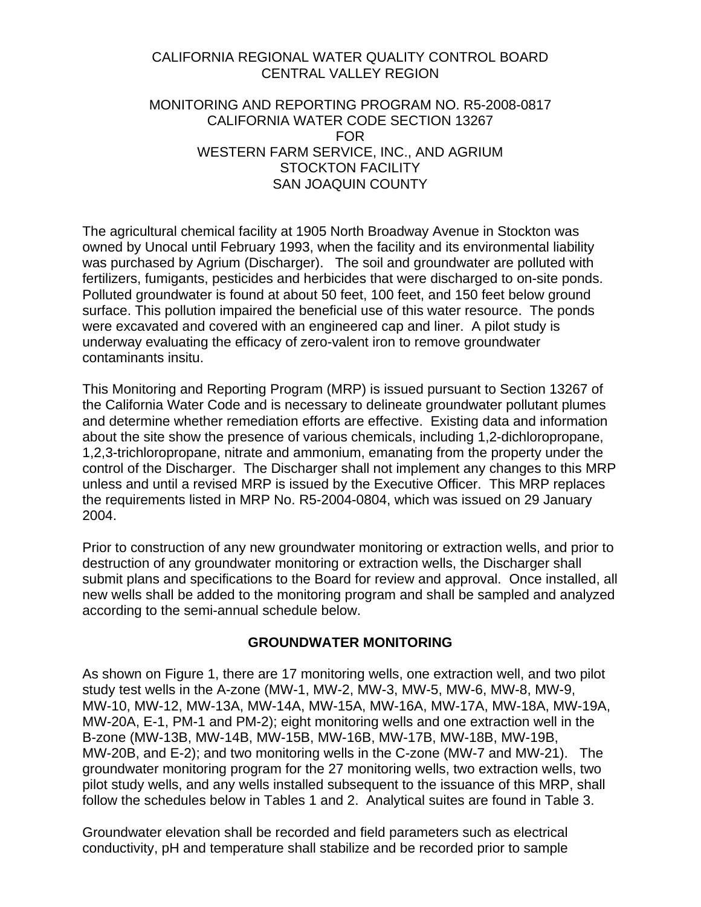### CALIFORNIA REGIONAL WATER QUALITY CONTROL BOARD CENTRAL VALLEY REGION

#### MONITORING AND REPORTING PROGRAM NO. R5-2008-0817 CALIFORNIA WATER CODE SECTION 13267 FOR WESTERN FARM SERVICE, INC., AND AGRIUM STOCKTON FACILITY SAN JOAQUIN COUNTY

The agricultural chemical facility at 1905 North Broadway Avenue in Stockton was owned by Unocal until February 1993, when the facility and its environmental liability was purchased by Agrium (Discharger). The soil and groundwater are polluted with fertilizers, fumigants, pesticides and herbicides that were discharged to on-site ponds. Polluted groundwater is found at about 50 feet, 100 feet, and 150 feet below ground surface. This pollution impaired the beneficial use of this water resource. The ponds were excavated and covered with an engineered cap and liner. A pilot study is underway evaluating the efficacy of zero-valent iron to remove groundwater contaminants insitu.

This Monitoring and Reporting Program (MRP) is issued pursuant to Section 13267 of the California Water Code and is necessary to delineate groundwater pollutant plumes and determine whether remediation efforts are effective. Existing data and information about the site show the presence of various chemicals, including 1,2-dichloropropane, 1,2,3-trichloropropane, nitrate and ammonium, emanating from the property under the control of the Discharger. The Discharger shall not implement any changes to this MRP unless and until a revised MRP is issued by the Executive Officer. This MRP replaces the requirements listed in MRP No. R5-2004-0804, which was issued on 29 January 2004.

Prior to construction of any new groundwater monitoring or extraction wells, and prior to destruction of any groundwater monitoring or extraction wells, the Discharger shall submit plans and specifications to the Board for review and approval. Once installed, all new wells shall be added to the monitoring program and shall be sampled and analyzed according to the semi-annual schedule below.

### **GROUNDWATER MONITORING**

As shown on Figure 1, there are 17 monitoring wells, one extraction well, and two pilot study test wells in the A-zone (MW-1, MW-2, MW-3, MW-5, MW-6, MW-8, MW-9, MW-10, MW-12, MW-13A, MW-14A, MW-15A, MW-16A, MW-17A, MW-18A, MW-19A, MW-20A, E-1, PM-1 and PM-2); eight monitoring wells and one extraction well in the B-zone (MW-13B, MW-14B, MW-15B, MW-16B, MW-17B, MW-18B, MW-19B, MW-20B, and E-2); and two monitoring wells in the C-zone (MW-7 and MW-21). The groundwater monitoring program for the 27 monitoring wells, two extraction wells, two pilot study wells, and any wells installed subsequent to the issuance of this MRP, shall follow the schedules below in Tables 1 and 2. Analytical suites are found in Table 3.

Groundwater elevation shall be recorded and field parameters such as electrical conductivity, pH and temperature shall stabilize and be recorded prior to sample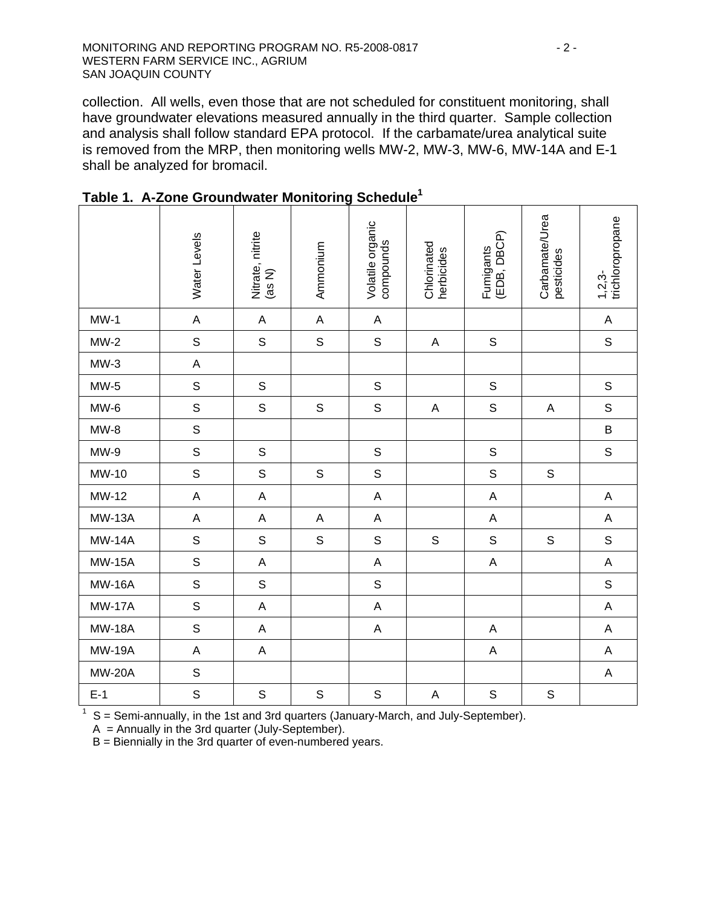collection. All wells, even those that are not scheduled for constituent monitoring, shall have groundwater elevations measured annually in the third quarter. Sample collection and analysis shall follow standard EPA protocol. If the carbamate/urea analytical suite is removed from the MRP, then monitoring wells MW-2, MW-3, MW-6, MW-14A and E-1 shall be analyzed for bromacil.

|               | Water Levels | Nitrate, nitrite<br>(as N) | Ammonium    | Volatile organic<br>compounds | Chlorinated<br>herbicides | (EDB, DBCP)<br>Fumigants | Carbamate/Urea<br>pesticides | trichloropropane<br>$1,2,3-$ |
|---------------|--------------|----------------------------|-------------|-------------------------------|---------------------------|--------------------------|------------------------------|------------------------------|
| $MW-1$        | $\mathsf A$  | $\mathsf A$                | $\mathsf A$ | $\boldsymbol{\mathsf{A}}$     |                           |                          |                              | $\mathsf A$                  |
| $MW-2$        | $\mathsf S$  | $\mathsf S$                | $\mathsf S$ | $\mathsf S$                   | $\boldsymbol{\mathsf{A}}$ | $\mathbb S$              |                              | $\mathsf S$                  |
| $MW-3$        | $\mathsf A$  |                            |             |                               |                           |                          |                              |                              |
| $MW-5$        | $\mathsf S$  | $\mathsf S$                |             | $\mathsf S$                   |                           | $\mathsf S$              |                              | $\mathsf S$                  |
| $MW-6$        | $\mathsf S$  | $\mathsf S$                | $\mathbb S$ | $\mathsf S$                   | $\boldsymbol{\mathsf{A}}$ | $\mathbb S$              | A                            | $\mathsf S$                  |
| $MW-8$        | $\mathsf S$  |                            |             |                               |                           |                          |                              | B                            |
| $MW-9$        | $\mathsf S$  | $\mathsf S$                |             | $\mathsf S$                   |                           | $\mathsf S$              |                              | $\mathsf S$                  |
| MW-10         | $\mathsf S$  | $\mathsf S$                | $\mathbb S$ | S                             |                           | $\mathsf S$              | $\mathsf S$                  |                              |
| MW-12         | $\mathsf A$  | $\mathsf A$                |             | $\mathsf A$                   |                           | $\mathsf A$              |                              | $\mathsf A$                  |
| <b>MW-13A</b> | $\mathsf A$  | $\mathsf A$                | $\mathsf A$ | A                             |                           | $\mathsf A$              |                              | $\mathsf A$                  |
| <b>MW-14A</b> | $\mathsf S$  | $\mathsf S$                | $\mathsf S$ | $\mathsf S$                   | $\mathbf S$               | $\mathsf S$              | $\mathsf S$                  | $\mathsf S$                  |
| <b>MW-15A</b> | $\mathsf S$  | $\mathsf A$                |             | $\boldsymbol{\mathsf{A}}$     |                           | $\mathsf A$              |                              | A                            |
| <b>MW-16A</b> | $\mathsf S$  | $\mathsf S$                |             | $\mathsf S$                   |                           |                          |                              | $\mathsf S$                  |
| <b>MW-17A</b> | $\mathsf S$  | $\boldsymbol{\mathsf{A}}$  |             | $\mathsf A$                   |                           |                          |                              | $\mathsf A$                  |
| <b>MW-18A</b> | $\mathsf S$  | $\mathsf A$                |             | $\mathsf A$                   |                           | $\mathsf A$              |                              | A                            |
| <b>MW-19A</b> | $\mathsf A$  | $\mathsf A$                |             |                               |                           | $\mathsf A$              |                              | $\mathsf A$                  |
| <b>MW-20A</b> | $\mathsf{s}$ |                            |             |                               |                           |                          |                              | $\mathsf A$                  |
| $E-1$         | $\mathsf S$  | $\mathsf S$                | $\mathsf S$ | $\mathsf S$                   | $\boldsymbol{\mathsf{A}}$ | $\mathsf S$              | $\mathsf S$                  |                              |

**Table 1. A-Zone Groundwater Monitoring Schedule1**

 $1 \text{ S}$  = Semi-annually, in the 1st and 3rd quarters (January-March, and July-September).

 $A =$  Annually in the 3rd quarter (July-September).

B = Biennially in the 3rd quarter of even-numbered years.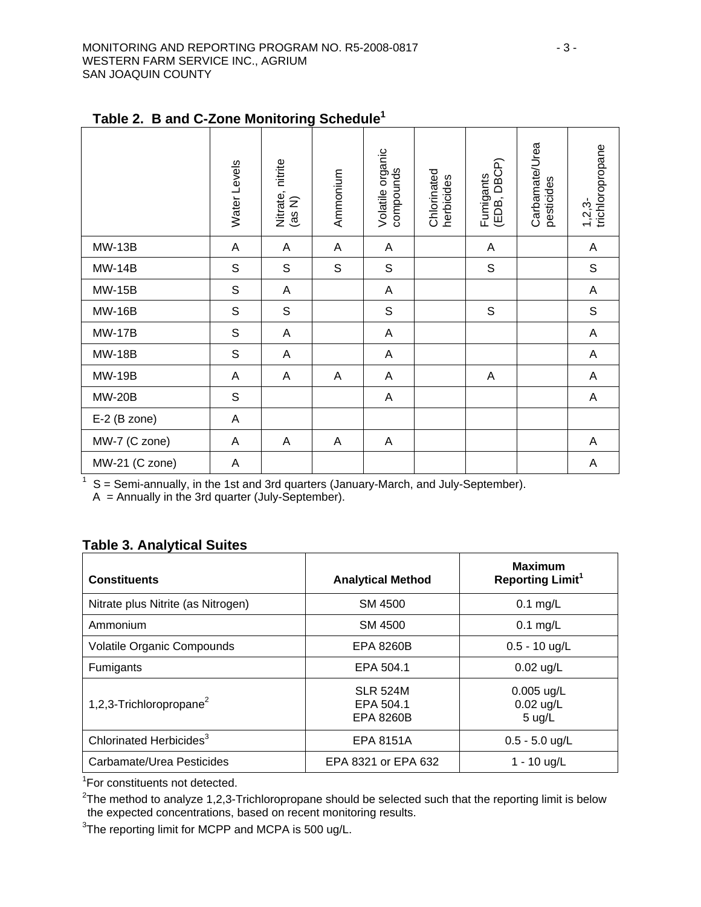|                | Water Levels   | Nitrate, nitrite<br>(as N) | Ammonium    | Volatile organic<br>compounds | Chlorinated<br>herbicides | Fumigants<br>(EDB, DBCP) | Carbamate/Urea<br>pesticides | trichloropropane<br>$1,2,3-$ |
|----------------|----------------|----------------------------|-------------|-------------------------------|---------------------------|--------------------------|------------------------------|------------------------------|
| <b>MW-13B</b>  | A              | A                          | A           | A                             |                           | A                        |                              | A                            |
| <b>MW-14B</b>  | $\mathsf S$    | $\mathsf S$                | $\mathsf S$ | $\mathsf S$                   |                           | $\mathsf S$              |                              | $\mathsf S$                  |
| <b>MW-15B</b>  | $\mathsf S$    | $\boldsymbol{\mathsf{A}}$  |             | $\mathsf{A}$                  |                           |                          |                              | $\boldsymbol{\mathsf{A}}$    |
| <b>MW-16B</b>  | $\mathsf S$    | $\mathsf S$                |             | $\mathsf S$                   |                           | $\mathsf{S}$             |                              | $\mathsf S$                  |
| <b>MW-17B</b>  | $\mathsf S$    | A                          |             | A                             |                           |                          |                              | $\boldsymbol{\mathsf{A}}$    |
| <b>MW-18B</b>  | $\mathbb S$    | A                          |             | A                             |                           |                          |                              | A                            |
| <b>MW-19B</b>  | A              | A                          | A           | A                             |                           | A                        |                              | A                            |
| <b>MW-20B</b>  | $\mathsf S$    |                            |             | $\mathsf{A}$                  |                           |                          |                              | $\boldsymbol{\mathsf{A}}$    |
| $E-2$ (B zone) | A              |                            |             |                               |                           |                          |                              |                              |
| MW-7 (C zone)  | Α              | Α                          | Α           | A                             |                           |                          |                              | A                            |
| MW-21 (C zone) | $\overline{A}$ |                            |             |                               |                           |                          |                              | A                            |

# **Table 2. B and C-Zone Monitoring Schedule1**

 $1 \text{ S} =$  Semi-annually, in the 1st and 3rd quarters (January-March, and July-September).

A = Annually in the 3rd quarter (July-September).

## **Table 3. Analytical Suites**

| <b>Constituents</b>                 | <b>Analytical Method</b>                         | <b>Maximum</b><br><b>Reporting Limit<sup>1</sup></b> |
|-------------------------------------|--------------------------------------------------|------------------------------------------------------|
| Nitrate plus Nitrite (as Nitrogen)  | SM 4500                                          | $0.1$ mg/L                                           |
| Ammonium                            | SM 4500                                          | $0.1$ mg/L                                           |
| Volatile Organic Compounds          | EPA 8260B                                        | $0.5 - 10$ ug/L                                      |
| Fumigants                           | EPA 504.1                                        | $0.02$ ug/L                                          |
| 1,2,3-Trichloropropane <sup>2</sup> | <b>SLR 524M</b><br>EPA 504.1<br><b>EPA 8260B</b> | $0.005$ ug/L<br>$0.02$ ug/L<br>$5 \text{ u}g/L$      |
| Chlorinated Herbicides <sup>3</sup> | <b>EPA 8151A</b>                                 | $0.5 - 5.0$ ug/L                                     |
| Carbamate/Urea Pesticides           | EPA 8321 or EPA 632                              | 1 - 10 ug/L                                          |

<sup>1</sup>For constituents not detected.

 $2$ The method to analyze 1,2,3-Trichloropropane should be selected such that the reporting limit is below the expected concentrations, based on recent monitoring results.

 $3$ The reporting limit for MCPP and MCPA is 500 ug/L.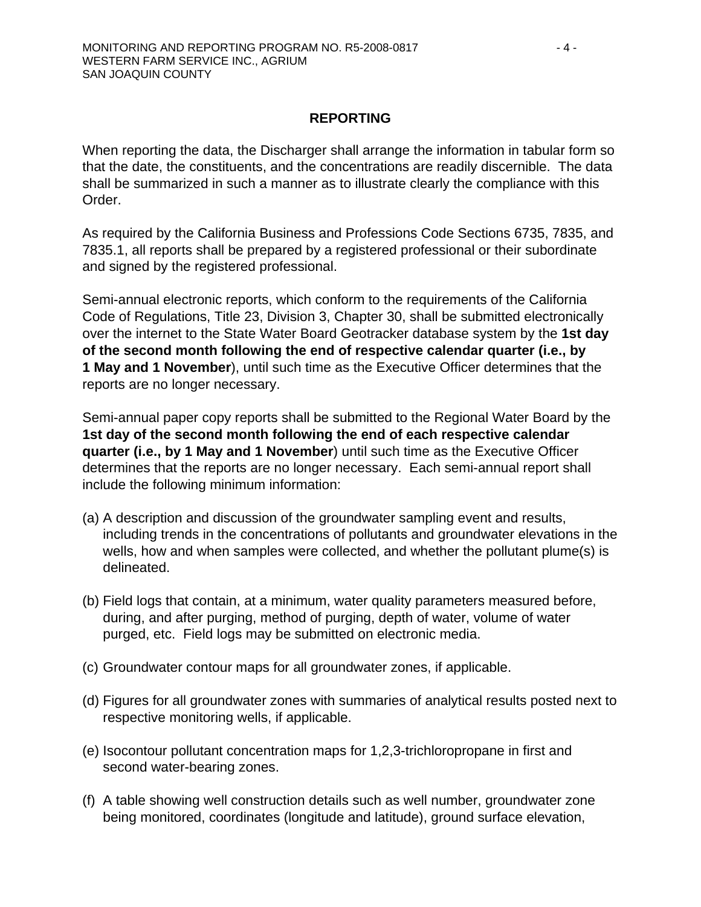### **REPORTING**

When reporting the data, the Discharger shall arrange the information in tabular form so that the date, the constituents, and the concentrations are readily discernible. The data shall be summarized in such a manner as to illustrate clearly the compliance with this Order.

As required by the California Business and Professions Code Sections 6735, 7835, and 7835.1, all reports shall be prepared by a registered professional or their subordinate and signed by the registered professional.

Semi-annual electronic reports, which conform to the requirements of the California Code of Regulations, Title 23, Division 3, Chapter 30, shall be submitted electronically over the internet to the State Water Board Geotracker database system by the **1st day of the second month following the end of respective calendar quarter (i.e., by 1 May and 1 November**), until such time as the Executive Officer determines that the reports are no longer necessary.

Semi-annual paper copy reports shall be submitted to the Regional Water Board by the **1st day of the second month following the end of each respective calendar quarter (i.e., by 1 May and 1 November**) until such time as the Executive Officer determines that the reports are no longer necessary. Each semi-annual report shall include the following minimum information:

- (a) A description and discussion of the groundwater sampling event and results, including trends in the concentrations of pollutants and groundwater elevations in the wells, how and when samples were collected, and whether the pollutant plume(s) is delineated.
- (b) Field logs that contain, at a minimum, water quality parameters measured before, during, and after purging, method of purging, depth of water, volume of water purged, etc. Field logs may be submitted on electronic media.
- (c) Groundwater contour maps for all groundwater zones, if applicable.
- (d) Figures for all groundwater zones with summaries of analytical results posted next to respective monitoring wells, if applicable.
- (e) Isocontour pollutant concentration maps for 1,2,3-trichloropropane in first and second water-bearing zones.
- (f) A table showing well construction details such as well number, groundwater zone being monitored, coordinates (longitude and latitude), ground surface elevation,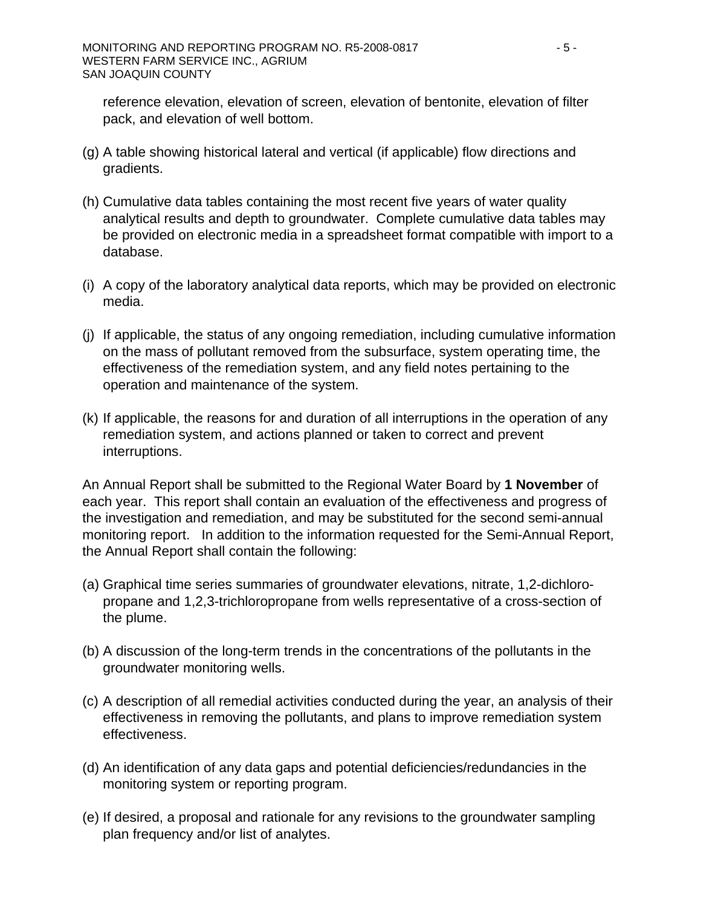reference elevation, elevation of screen, elevation of bentonite, elevation of filter pack, and elevation of well bottom.

- (g) A table showing historical lateral and vertical (if applicable) flow directions and gradients.
- (h) Cumulative data tables containing the most recent five years of water quality analytical results and depth to groundwater. Complete cumulative data tables may be provided on electronic media in a spreadsheet format compatible with import to a database.
- (i) A copy of the laboratory analytical data reports, which may be provided on electronic media.
- (j) If applicable, the status of any ongoing remediation, including cumulative information on the mass of pollutant removed from the subsurface, system operating time, the effectiveness of the remediation system, and any field notes pertaining to the operation and maintenance of the system.
- (k) If applicable, the reasons for and duration of all interruptions in the operation of any remediation system, and actions planned or taken to correct and prevent interruptions.

An Annual Report shall be submitted to the Regional Water Board by **1 November** of each year. This report shall contain an evaluation of the effectiveness and progress of the investigation and remediation, and may be substituted for the second semi-annual monitoring report. In addition to the information requested for the Semi-Annual Report, the Annual Report shall contain the following:

- (a) Graphical time series summaries of groundwater elevations, nitrate, 1,2-dichloropropane and 1,2,3-trichloropropane from wells representative of a cross-section of the plume.
- (b) A discussion of the long-term trends in the concentrations of the pollutants in the groundwater monitoring wells.
- (c) A description of all remedial activities conducted during the year, an analysis of their effectiveness in removing the pollutants, and plans to improve remediation system effectiveness.
- (d) An identification of any data gaps and potential deficiencies/redundancies in the monitoring system or reporting program.
- (e) If desired, a proposal and rationale for any revisions to the groundwater sampling plan frequency and/or list of analytes.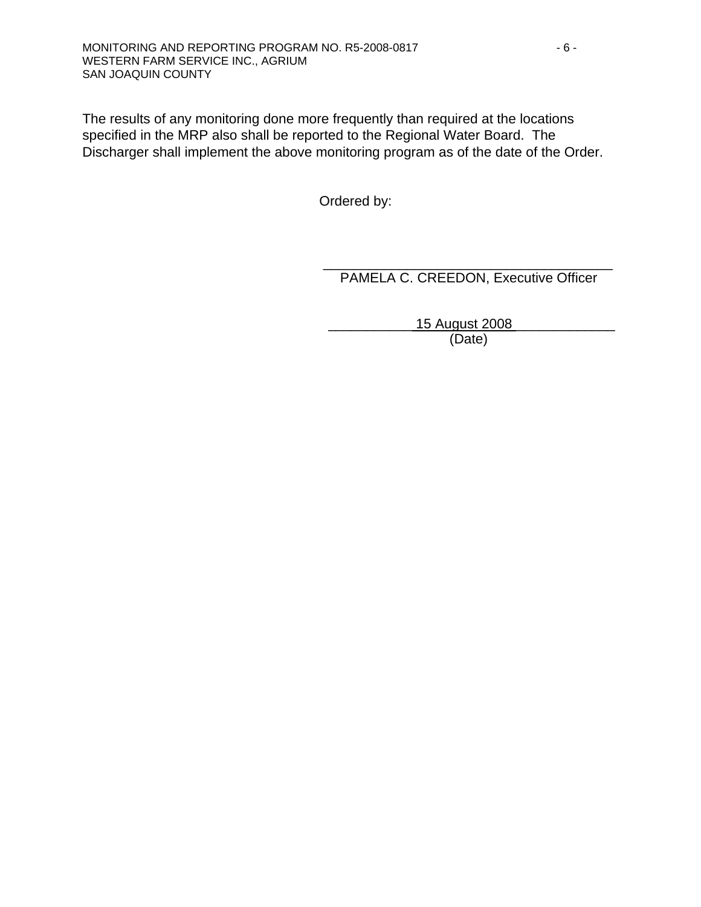The results of any monitoring done more frequently than required at the locations specified in the MRP also shall be reported to the Regional Water Board. The Discharger shall implement the above monitoring program as of the date of the Order.

Ordered by:

\_\_\_\_\_\_\_\_\_\_\_\_\_\_\_\_\_\_\_\_\_\_\_\_\_\_\_\_\_\_\_\_\_\_\_\_\_\_ PAMELA C. CREEDON, Executive Officer

> \_\_\_\_\_\_\_\_\_\_\_ 15 August 2008 \_\_\_\_\_\_\_\_\_\_\_\_\_ (Date)